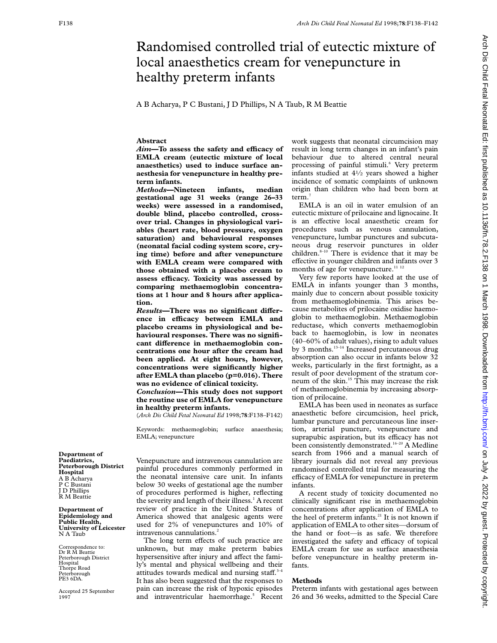# Randomised controlled trial of eutectic mixture of local anaesthetics cream for venepuncture in healthy preterm infants

A B Acharya, P C Bustani, J D Phillips, N A Taub, R M Beattie

# **Abstract**

*Aim*—To assess the safety and efficacy of **EMLA cream (eutectic mixture of local anaesthetics) used to induce surface anaesthesia for venepuncture in healthy preterm infants.**

*Methods***—Nineteen infants, median gestational age 31 weeks (range 26–33 weeks) were assessed in a randomised, double blind, placebo controlled, crossover trial. Changes in physiological variables (heart rate, blood pressure, oxygen saturation) and behavioural responses (neonatal facial coding system score, crying time) before and after venepuncture with EMLA cream were compared with those obtained with a placebo cream to assess eYcacy. Toxicity was assessed by comparing methaemoglobin concentrations at 1 hour and 8 hours after application.**

 $Results$ –There was no significant difference in efficacy between EMLA and **placebo creams in physiological and behavioural responses. There was no signifi**cant difference in methaemoglobin con**centrations one hour after the cream had been applied. At eight hours, however, concentrations were significantly higher after EMLA than placebo (p=0.016). There was no evidence of clinical toxicity.**

*Conclusion—***This study does not support the routine use of EMLA for venepuncture in healthy preterm infants.**

(*Arch Dis Child Fetal Neonatal Ed* 1998;**78**:F138–F142)

Keywords: methaemoglobin; surface anaesthesia; EMLA; venepuncture

**Department of Paediatrics, Peterborough District Hospital** A B Acharya P C Bustani J D Phillips R M Beattie

**Department of Epidemiology and Public Health, University of Leicester** N A Taub

Correspondence to: Dr R M Beattie Peterborough District Hospital Thorpe Road Peterborough PE3 6DA.

Accepted 25 September 1997

Venepuncture and intravenous cannulation are painful procedures commonly performed in the neonatal intensive care unit. In infants below 30 weeks of gestational age the number of procedures performed is higher, reflecting the severity and length of their illness.<sup>1</sup> A recent review of practice in the United States of America showed that analgesic agents were used for 2% of venepunctures and 10% of intravenous cannulations.<sup>2</sup>

The long term effects of such practice are unknown, but may make preterm babies hypersensitive after injury and affect the family's mental and physical wellbeing and their attitudes towards medical and nursing staff. $3-4$ It has also been suggested that the responses to pain can increase the risk of hypoxic episodes and intraventricular haemorrhage.<sup>5</sup> Recent

work suggests that neonatal circumcision may result in long term changes in an infant's pain behaviour due to altered central neural processing of painful stimuli.<sup>6</sup> Very preterm infants studied at  $4\frac{1}{2}$  years showed a higher incidence of somatic complaints of unknown origin than children who had been born at term.

EMLA is an oil in water emulsion of an eutectic mixture of prilocaine and lignocaine. It is an effective local anaesthetic cream for procedures such as venous cannulation, venepuncture, lumbar punctures and subcutaneous drug reservoir punctures in older children. $8-10$  There is evidence that it may be effective in younger children and infants over 3 months of age for venepuncture.<sup>11 12</sup>

Very few reports have looked at the use of EMLA in infants younger than 3 months, mainly due to concern about possible toxicity from methaemoglobinemia. This arises because metabolites of prilocaine oxidise haemoglobin to methaemoglobin. Methaemoglobin reductase, which converts methaemoglobin back to haemoglobin, is low in neonates (40–60% of adult values), rising to adult values by 3 months.<sup>13-14</sup> Increased percutaneous drug absorption can also occur in infants below 32 weeks, particularly in the first fortnight, as a result of poor development of the stratum corneum of the skin.<sup>15</sup> This may increase the risk of methaemoglobinemia by increasing absorption of prilocaine.

EMLA has been used in neonates as surface anaesthetic before circumcision, heel prick, lumbar puncture and percutaneous line insertion, arterial puncture, venepuncture and suprapubic aspiration, but its efficacy has not been consistently demonstrated.<sup>16-20</sup> A Medline search from 1966 and a manual search of library journals did not reveal any previous randomised controlled trial for measuring the efficacy of EMLA for venepuncture in preterm infants.

A recent study of toxicity documented no clinically significant rise in methaemoglobin concentrations after application of EMLA to the heel of preterm infants.<sup>21</sup> It is not known if application of EMLA to other sites—dorsum of the hand or foot—is as safe. We therefore investigated the safety and efficacy of topical EMLA cream for use as surface anaesthesia before venepuncture in healthy preterm infants.

# **Methods**

Preterm infants with gestational ages between 26 and 36 weeks, admitted to the Special Care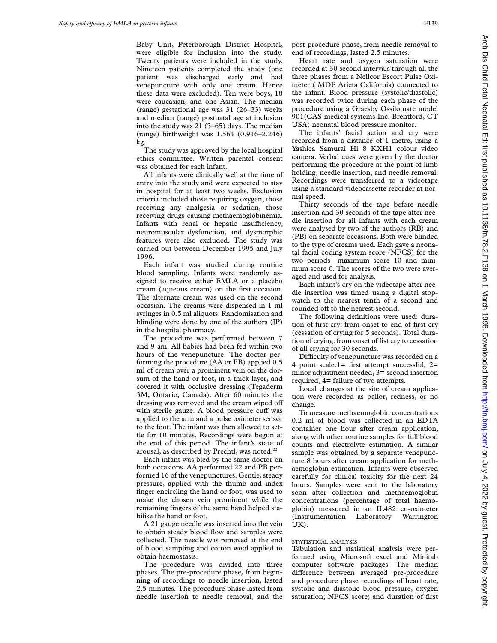Baby Unit, Peterborough District Hospital, were eligible for inclusion into the study. Twenty patients were included in the study. Nineteen patients completed the study (one patient was discharged early and had venepuncture with only one cream. Hence these data were excluded). Ten were boys, 18 were caucasian, and one Asian. The median (range) gestational age was 31 (26–33) weeks and median (range) postnatal age at inclusion into the study was 21 (3–65) days. The median (range) birthweight was 1.564 (0.916–2.246) kg.

The study was approved by the local hospital ethics committee. Written parental consent was obtained for each infant.

All infants were clinically well at the time of entry into the study and were expected to stay in hospital for at least two weeks. Exclusion criteria included those requiring oxygen, those receiving any analgesia or sedation, those receiving drugs causing methaemoglobinemia. Infants with renal or hepatic insufficiency, neuromuscular dysfunction, and dysmorphic features were also excluded. The study was carried out between December 1995 and July 1996.

Each infant was studied during routine blood sampling. Infants were randomly assigned to receive either EMLA or a placebo cream (aqueous cream) on the first occasion. The alternate cream was used on the second occasion. The creams were dispensed in 1 ml syringes in 0.5 ml aliquots. Randomisation and blinding were done by one of the authors (JP) in the hospital pharmacy.

The procedure was performed between 7 and 9 am. All babies had been fed within two hours of the venepuncture. The doctor performing the procedure (AA or PB) applied 0.5 ml of cream over a prominent vein on the dorsum of the hand or foot, in a thick layer, and covered it with occlusive dressing (Tegaderm 3M; Ontario, Canada). After 60 minutes the dressing was removed and the cream wiped off with sterile gauze. A blood pressure cuff was applied to the arm and a pulse oximeter sensor to the foot. The infant was then allowed to settle for 10 minutes. Recordings were begun at the end of this period. The infant's state of arousal, as described by Prechtl, was noted.<sup>22</sup>

Each infant was bled by the same doctor on both occasions. AA performed 22 and PB performed 16 of the venepunctures. Gentle, steady pressure, applied with the thumb and index finger encircling the hand or foot, was used to make the chosen vein prominent while the remaining fingers of the same hand helped stabilise the hand or foot.

A 21 gauge needle was inserted into the vein to obtain steady blood flow and samples were collected. The needle was removed at the end of blood sampling and cotton wool applied to obtain haemostasis.

The procedure was divided into three phases. The pre-procedure phase, from beginning of recordings to needle insertion, lasted 2.5 minutes. The procedure phase lasted from needle insertion to needle removal, and the

post-procedure phase, from needle removal to end of recordings, lasted 2.5 minutes.

Heart rate and oxygen saturation were recorded at 30 second intervals through all the three phases from a Nellcor Escort Pulse Oximeter ( MDE Arieta California) connected to the infant. Blood pressure (systolic/diastolic) was recorded twice during each phase of the procedure using a Graesby Ossilomate model 901(CAS medical systems Inc. Brentford, CT USA) neonatal blood pressure monitor.

The infants' facial action and cry were recorded from a distance of 1 metre, using a Yashica Samurai Hi 8 KXH1 colour video camera. Verbal cues were given by the doctor performing the procedure at the point of limb holding, needle insertion, and needle removal. Recordings were transferred to a videotape using a standard videocassette recorder at normal speed.

Thirty seconds of the tape before needle insertion and 30 seconds of the tape after needle insertion for all infants with each cream were analysed by two of the authors (RB) and (PB) on separate occasions. Both were blinded to the type of creams used. Each gave a neonatal facial coding system score (NFCS) for the two periods—maximum score 10 and minimum score 0. The scores of the two were averaged and used for analysis.

Each infant's cry on the videotape after needle insertion was timed using a digital stopwatch to the nearest tenth of a second and rounded off to the nearest second.

The following definitions were used: duration of first cry: from onset to end of first cry (cessation of crying for 5 seconds). Total duration of crying: from onset of fist cry to cessation of all crying for 30 seconds.

Difficulty of venepuncture was recorded on a 4 point scale:1= first attempt successful, 2= minor adjustment needed, 3= second insertion required, 4= failure of two attempts.

Local changes at the site of cream application were recorded as pallor, redness, or no change.

To measure methaemoglobin concentrations 0.2 ml of blood was collected in an EDTA container one hour after cream application, along with other routine samples for full blood counts and electrolyte estimation. A similar sample was obtained by a separate venepuncture 8 hours after cream application for methaemoglobin estimation. Infants were observed carefully for clinical toxicity for the next 24 hours. Samples were sent to the laboratory soon after collection and methaemoglobin concentrations (percentage of total haemoglobin) measured in an IL482 co-oximeter (Instrumentation Laboratory Warrington UK).

#### STATISTICAL ANALYSIS

Tabulation and statistical analysis were performed using Microsoft excel and Minitab computer software packages. The median difference between averaged pre-procedure and procedure phase recordings of heart rate, systolic and diastolic blood pressure, oxygen saturation; NFCS score; and duration of first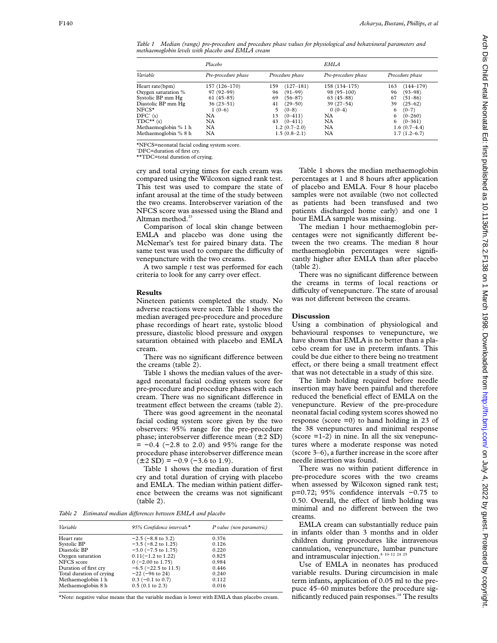*Table 1 Median (range) pre-procedure and procedure phase values for physiological and behavioural parameters and methaemoglobin levels with placebo and EMLA cream*

|                      | Placebo             |                    | <b>EMLA</b>         |                      |
|----------------------|---------------------|--------------------|---------------------|----------------------|
| Variable             | Pre-procedure phase | Procedure phase    | Pre-procedure phase | Procedure phase      |
| Heart rate(bpm)      | 157 (126-170)       | $(127-181)$<br>159 | 158 (134-175)       | $(144 - 179)$<br>163 |
| Oxygen saturation %  | $97(92 - 99)$       | 96<br>$(91-99)$    | $98(95-100)$        | 96<br>$(93 - 98)$    |
| Systolic BP mm Hg    | $61(45-85)$         | 69<br>$(56 - 87)$  | $63(45-88)$         | 67<br>$(51 - 86)$    |
| Diastolic BP mm Hg   | $36(23-51)$         | 41<br>$(29 - 50)$  | $39(27-54)$         | 39<br>$(25-62)$      |
| ${\rm NFCS}^{\star}$ | $1(0-6)$            | $(0-8)$<br>5       | $0(0-4)$            | $(0-7)$<br>6         |
| $DEC^{\wedge}$ (s)   | NA                  | 13<br>$(0-411)$    | NA                  | $(0 - 260)$<br>6     |
| $TDC**$ (s)          | NA                  | 43<br>$(0-411)$    | NA                  | $(0 - 361)$<br>6     |
| Methaemoglobin % 1 h | NA                  | $1.2(0.7-2.0)$     | <b>NA</b>           | $1.6(0.7-4.4)$       |
| Methaemoglobin % 8 h | NA                  | $1.5(0.8-2.1)$     | NA                  | $1.7(1.2-6.7)$       |

\*NFCS=neonatal facial coding system score.

ˆDFC=duration of first cry.

\*\*TDC=total duration of crying.

cry and total crying times for each cream was compared using the Wilcoxon signed rank test. This test was used to compare the state of infant arousal at the time of the study between the two creams. Interobserver variation of the NFCS score was assessed using the Bland and Altman method.<sup>23</sup>

Comparison of local skin change between EMLA and placebo was done using the McNemar's test for paired binary data. The same test was used to compare the difficulty of venepuncture with the two creams.

A two sample *t* test was performed for each criteria to look for any carry over effect.

### **Results**

Nineteen patients completed the study. No adverse reactions were seen. Table 1 shows the median averaged pre-procedure and procedure phase recordings of heart rate, systolic blood pressure, diastolic blood pressure and oxygen saturation obtained with placebo and EMLA cream.

There was no significant difference between the creams (table 2).

Table 1 shows the median values of the averaged neonatal facial coding system score for pre-procedure and procedure phases with each cream. There was no significant difference in treatment effect between the creams (table 2).

There was good agreement in the neonatal facial coding system score given by the two observers: 95% range for the pre-procedure phase; interobserver difference mean  $(\pm 2 SD)$ = −0.4 (−2.8 to 2.0) and 95% range for the procedure phase interobserver difference mean  $(\pm 2 SD) = -0.9$  (-3.6 to 1.9).

Table 1 shows the median duration of first cry and total duration of crying with placebo and EMLA. The median within patient difference between the creams was not significant (table 2).

*Table 2 Estimated median diVerences between EMLA and placebo*

| 95% Confidence intervals*     | P value (non parametric) |
|-------------------------------|--------------------------|
| $-2.5$ ( $-8.8$ to 3.2)       | 0.376                    |
| $-3.5$ ( $-8.2$ to 1.25)      | 0.126                    |
| $-3.0$ ( $-7.5$ to 1.75)      | 0.220                    |
| $0.11(-1.2 \text{ to } 1.22)$ | 0.825                    |
| $0$ (-2.00 to 1.75)           | 0.984                    |
| $-6.5$ ( $-22.5$ to 11.5)     | 0.446                    |
| $-22$ (-96 to 24)             | 0.240                    |
| $0.3$ (-0.1 to 0.7)           | 0.112                    |
| $0.5$ (0.1 to 2.3)            | 0.016                    |
|                               |                          |

\*Note: negative value means that the variable median is lower with EMLA than placebo cream.

Table 1 shows the median methaemoglobin percentages at 1 and 8 hours after application of placebo and EMLA. Four 8 hour placebo samples were not available (two not collected as patients had been transfused and two patients discharged home early) and one 1 hour EMLA sample was missing.

The median 1 hour methaemoglobin percentages were not significantly different between the two creams. The median 8 hour methaemoglobin percentages were significantly higher after EMLA than after placebo (table 2).

There was no significant difference between the creams in terms of local reactions or difficulty of venepuncture. The state of arousal was not different between the creams.

## **Discussion**

Using a combination of physiological and behavioural responses to venepuncture, we have shown that EMLA is no better than a placebo cream for use in preterm infants. This could be due either to there being no treatment effect, or there being a small treatment effect that was not detectable in a study of this size.

The limb holding required before needle insertion may have been painful and therefore reduced the beneficial effect of EMLA on the venepuncture. Review of the pre-procedure neonatal facial coding system scores showed no response (score  $=0$ ) to hand holding in 23 of the 38 venepunctures and minimal response (score  $=1-2$ ) in nine. In all the six venepunctures where a moderate response was noted (score 3–6), a further increase in the score after needle insertion was found.

There was no within patient difference in pre-procedure scores with the two creams when assessed by Wilcoxon signed rank test; p=0.72; 95% confidence intervals −0.75 to 0.50. Overall, the effect of limb holding was minimal and no different between the two creams.

EMLA cream can substantially reduce pain in infants older than 3 months and in older children during procedures like intravenous cannulation, venepuncture, lumbar puncture and intramuscular injection.<sup>8 10-12 24 25</sup>

Use of EMLA in neonates has produced variable results. During circumcision in male term infants, application of 0.05 ml to the prepuce 45–60 minutes before the procedure significantly reduced pain responses.<sup>16</sup> The results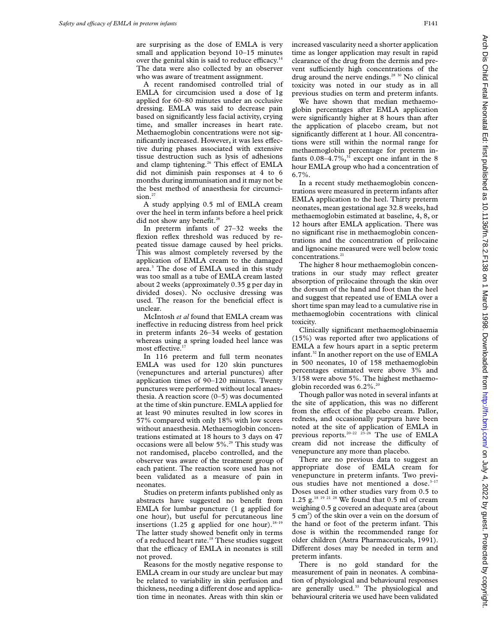are surprising as the dose of EMLA is very small and application beyond 10–15 minutes over the genital skin is said to reduce efficacy.<sup>14</sup> The data were also collected by an observer who was aware of treatment assignment.

A recent randomised controlled trial of EMLA for circumcision used a dose of 1g applied for 60–80 minutes under an occlusive dressing. EMLA was said to decrease pain based on significantly less facial activity, crying time, and smaller increases in heart rate. Methaemoglobin concentrations were not significantly increased. However, it was less effective during phases associated with extensive tissue destruction such as lysis of adhesions and clamp tightening.<sup>26</sup> This effect of EMLA did not diminish pain responses at 4 to 6 months during immunisation and it may not be the best method of anaesthesia for circumcision.<sup>27</sup>

A study applying 0.5 ml of EMLA cream over the heel in term infants before a heel prick did not show any benefit.<sup>28</sup>

In preterm infants of 27–32 weeks the flexion reflex threshold was reduced by repeated tissue damage caused by heel pricks. This was almost completely reversed by the application of EMLA cream to the damaged area.<sup>3</sup> The dose of EMLA used in this study was too small as a tube of EMLA cream lasted about 2 weeks (approximately 0.35 g per day in divided doses). No occlusive dressing was used. The reason for the beneficial effect is unclear.

McIntosh *et al* found that EMLA cream was ineffective in reducing distress from heel prick in preterm infants 26–34 weeks of gestation whereas using a spring loaded heel lance was most effective.<sup>17</sup>

In 116 preterm and full term neonates EMLA was used for 120 skin punctures (venepunctures and arterial punctures) after application times of 90–120 minutes. Twenty punctures were performed without local anaesthesia. A reaction score (0–5) was documented at the time of skin puncture. EMLA applied for at least 90 minutes resulted in low scores in 57% compared with only 18% with low scores without anaesthesia. Methaemoglobin concentrations estimated at 18 hours to 3 days on 47 occasions were all below 5%.29 This study was not randomised, placebo controlled, and the observer was aware of the treatment group of each patient. The reaction score used has not been validated as a measure of pain in neonates.

Studies on preterm infants published only as abstracts have suggested no benefit from EMLA for lumbar puncture (1 g applied for one hour), but useful for percutaneous line insertions (1.25 g applied for one hour).<sup>18–19</sup> The latter study showed benefit only in terms of a reduced heart rate.<sup>18</sup> These studies suggest that the efficacy of EMLA in neonates is still not proved.

Reasons for the mostly negative response to EMLA cream in our study are unclear but may be related to variability in skin perfusion and thickness, needing a different dose and application time in neonates. Areas with thin skin or

increased vascularity need a shorter application time as longer application may result in rapid clearance of the drug from the dermis and prevent sufficiently high concentrations of the drug around the nerve endings. $2830$  No clinical toxicity was noted in our study as in all previous studies on term and preterm infants.

We have shown that median methaemoglobin percentages after EMLA application were significantly higher at 8 hours than after the application of placebo cream, but not significantly different at 1 hour. All concentrations were still within the normal range for methaemoglobin percentage for preterm infants  $0.08-4.7\%$ ,<sup>31</sup> except one infant in the 8 hour EMLA group who had a concentration of 6.7%.

In a recent study methaemoglobin concentrations were measured in preterm infants after EMLA application to the heel. Thirty preterm neonates, mean gestational age 32.8 weeks, had methaemoglobin estimated at baseline, 4, 8, or 12 hours after EMLA application. There was no significant rise in methaemoglobin concentrations and the concentration of prilocaine and lignocaine measured were well below toxic concentrations.<sup>21</sup>

The higher 8 hour methaemoglobin concentrations in our study may reflect greater absorption of prilocaine through the skin over the dorsum of the hand and foot than the heel and suggest that repeated use of EMLA over a short time span may lead to a cumulative rise in methaemoglobin cocentrations with clinical toxicity.

Clinically significant methaemoglobinaemia (15%) was reported after two applications of EMLA a few hours apart in a septic preterm infant.32 In another report on the use of EMLA in 500 neonates, 10 of 158 methaemoglobin percentages estimated were above 3% and 3/158 were above 5%. The highest methaemoglobin recorded was  $6.2\%$ .<sup>20</sup>

Though pallor was noted in several infants at the site of application, this was no different from the effect of the placebo cream. Pallor, redness, and occasionally purpura have been noted at the site of application of EMLA in previous reports.<sup>20–22</sup> <sup>23–26</sup> The use of EMLA cream did not increase the difficulty of venepuncture any more than placebo.

There are no previous data to suggest an appropriate dose of EMLA cream for venepuncture in preterm infants. Two previous studies have not mentioned a dose.<sup>3-17</sup> Doses used in other studies vary from 0.5 to 1.25 g.<sup>18 19 21 28</sup> We found that  $0.5$  ml of cream weighing 0.5 g covered an adequate area (about 5 cm2 ) of the skin over a vein on the dorsum of the hand or foot of the preterm infant. This dose is within the recommended range for older children (Astra Pharmaceuticals, 1991). Different doses may be needed in term and preterm infants.

There is no gold standard for the measurement of pain in neonates. A combination of physiological and behavioural responses are generally used.<sup>33</sup> The physiological and behavioural criteria we used have been validated